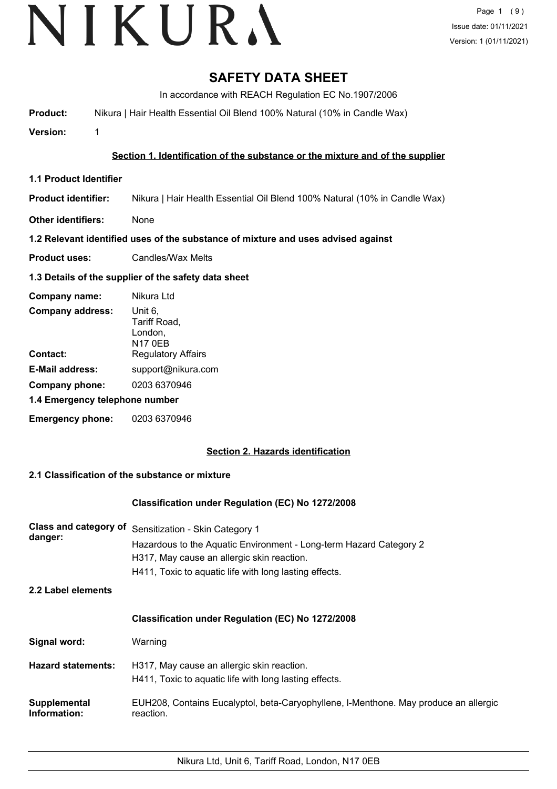# **SAFETY DATA SHEET**

In accordance with REACH Regulation EC No.1907/2006

**Product:** Nikura | Hair Health Essential Oil Blend 100% Natural (10% in Candle Wax)

**Version:** 1

# **Section 1. Identification of the substance or the mixture and of the supplier**

- **1.1 Product Identifier**
- **Product identifier:** Nikura | Hair Health Essential Oil Blend 100% Natural (10% in Candle Wax)
- **Other identifiers:** None

# **1.2 Relevant identified uses of the substance of mixture and uses advised against**

**Product uses:** Candles/Wax Melts

# **1.3 Details of the supplier of the safety data sheet**

| Company name:                  | Nikura Ltd                                           |
|--------------------------------|------------------------------------------------------|
| <b>Company address:</b>        | Unit 6,<br>Tariff Road,<br>London,<br><b>N17 0EB</b> |
| Contact:                       | <b>Regulatory Affairs</b>                            |
| <b>E-Mail address:</b>         | support@nikura.com                                   |
| Company phone:                 | 0203 6370946                                         |
| 1.4 Emergency telephone number |                                                      |
| <b>Emergency phone:</b>        | 0203 6370946                                         |

# **Section 2. Hazards identification**

# **2.1 Classification of the substance or mixture**

# **Classification under Regulation (EC) No 1272/2008**

| Class and category of<br>danger: | Sensitization - Skin Category 1<br>Hazardous to the Aquatic Environment - Long-term Hazard Category 2<br>H317, May cause an allergic skin reaction.<br>H411, Toxic to aquatic life with long lasting effects. |
|----------------------------------|---------------------------------------------------------------------------------------------------------------------------------------------------------------------------------------------------------------|
| 2.2 Label elements               |                                                                                                                                                                                                               |
|                                  | <b>Classification under Regulation (EC) No 1272/2008</b>                                                                                                                                                      |
| Signal word:                     | Warning                                                                                                                                                                                                       |
| <b>Hazard statements:</b>        | H317, May cause an allergic skin reaction.<br>H411, Toxic to aguatic life with long lasting effects.                                                                                                          |
| Supplemental<br>Information:     | EUH208, Contains Eucalyptol, beta-Caryophyllene, I-Menthone. May produce an allergic<br>reaction.                                                                                                             |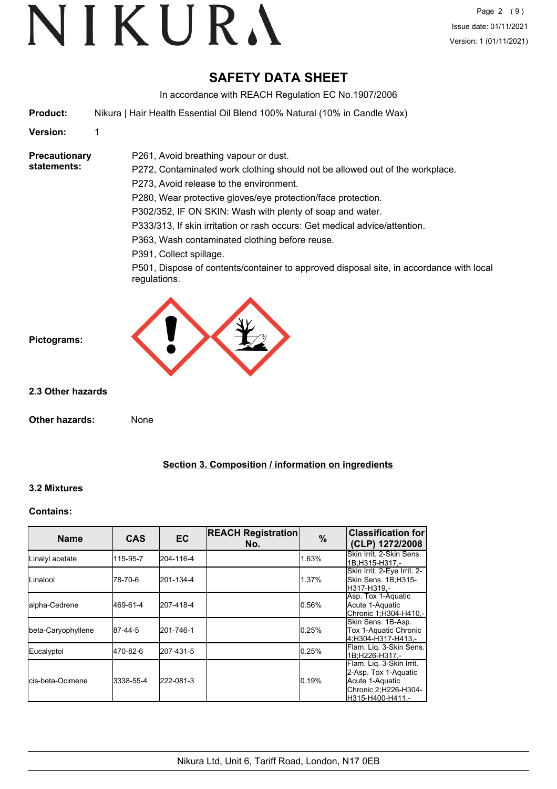# VIKURA

# **SAFETY DATA SHEET**

In accordance with REACH Regulation EC No.1907/2006

**Product:** Nikura | Hair Health Essential Oil Blend 100% Natural (10% in Candle Wax)

**Version:** 1

**Precautionary statements:**

P261, Avoid breathing vapour or dust. P272, Contaminated work clothing should not be allowed out of the workplace.

P273, Avoid release to the environment.

P280, Wear protective gloves/eye protection/face protection.

P302/352, IF ON SKIN: Wash with plenty of soap and water.

P333/313, If skin irritation or rash occurs: Get medical advice/attention.

P363, Wash contaminated clothing before reuse.

P391, Collect spillage.

P501, Dispose of contents/container to approved disposal site, in accordance with local regulations.



**2.3 Other hazards**

**Pictograms:**

**Other hazards:** None

# **Section 3. Composition / information on ingredients**

# **3.2 Mixtures**

# **Contains:**

| <b>Name</b>               | <b>CAS</b> | <b>EC</b> | <b>REACH Registration</b><br>No. | %     | <b>Classification for</b><br>(CLP) 1272/2008                                                                    |
|---------------------------|------------|-----------|----------------------------------|-------|-----------------------------------------------------------------------------------------------------------------|
| Linalyl acetate           | 115-95-7   | 204-116-4 |                                  | 1.63% | Skin Irrit. 2-Skin Sens.<br>1B:H315-H317 .-                                                                     |
| ILinalool                 | 78-70-6    | 201-134-4 |                                  | 1.37% | Skin Irrit. 2-Eye Irrit. 2-<br>Skin Sens. 1B;H315-<br>H317-H319.-                                               |
| lalpha-Cedrene            | 469-61-4   | 207-418-4 |                                  | 0.56% | Asp. Tox 1-Aquatic<br>Acute 1-Aquatic<br> Chronic 1:H304-H410.-                                                 |
| beta-Caryophyllene        | 87-44-5    | 201-746-1 |                                  | 0.25% | Skin Sens. 1B-Asp.<br>Tox 1-Aquatic Chronic<br>4:H304-H317-H413.-                                               |
| Eucalyptol                | 470-82-6   | 207-431-5 |                                  | 0.25% | Flam. Lig. 3-Skin Sens.<br>1B;H226-H317,-                                                                       |
| <b>l</b> cis-beta-Ocimene | 3338-55-4  | 222-081-3 |                                  | 0.19% | Flam. Lig. 3-Skin Irrit.<br>2-Asp. Tox 1-Aquatic<br>Acute 1-Aquatic<br>Chronic 2;H226-H304-<br>H315-H400-H411.- |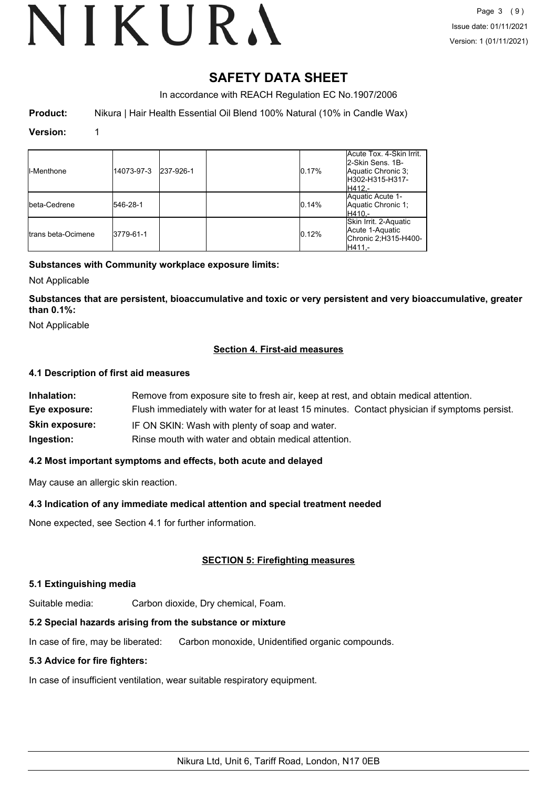# VIKURA

# **SAFETY DATA SHEET**

In accordance with REACH Regulation EC No.1907/2006

**Product:** Nikura | Hair Health Essential Oil Blend 100% Natural (10% in Candle Wax)

## **Version:** 1

| <b>II-Menthone</b>  | 14073-97-3 | 237-926-1 | 0.17% | Acute Tox. 4-Skin Irrit.<br>2-Skin Sens, 1B-<br>Aquatic Chronic 3;<br>H302-H315-H317-<br>IH412.- |
|---------------------|------------|-----------|-------|--------------------------------------------------------------------------------------------------|
| Ibeta-Cedrene       | 546-28-1   |           | 0.14% | Aquatic Acute 1-<br>Aquatic Chronic 1:<br>H410.-                                                 |
| Itrans beta-Ocimene | 3779-61-1  |           | 0.12% | Skin Irrit. 2-Aquatic<br>Acute 1-Aquatic<br>Chronic 2;H315-H400-<br>H411.-                       |

# **Substances with Community workplace exposure limits:**

Not Applicable

**Substances that are persistent, bioaccumulative and toxic or very persistent and very bioaccumulative, greater than 0.1%:**

Not Applicable

# **Section 4. First-aid measures**

# **4.1 Description of first aid measures**

| Inhalation:           | Remove from exposure site to fresh air, keep at rest, and obtain medical attention.          |
|-----------------------|----------------------------------------------------------------------------------------------|
| Eye exposure:         | Flush immediately with water for at least 15 minutes. Contact physician if symptoms persist. |
| <b>Skin exposure:</b> | IF ON SKIN: Wash with plenty of soap and water.                                              |
| Ingestion:            | Rinse mouth with water and obtain medical attention.                                         |

# **4.2 Most important symptoms and effects, both acute and delayed**

May cause an allergic skin reaction.

# **4.3 Indication of any immediate medical attention and special treatment needed**

None expected, see Section 4.1 for further information.

# **SECTION 5: Firefighting measures**

# **5.1 Extinguishing media**

Suitable media: Carbon dioxide, Dry chemical, Foam.

# **5.2 Special hazards arising from the substance or mixture**

In case of fire, may be liberated: Carbon monoxide, Unidentified organic compounds.

# **5.3 Advice for fire fighters:**

In case of insufficient ventilation, wear suitable respiratory equipment.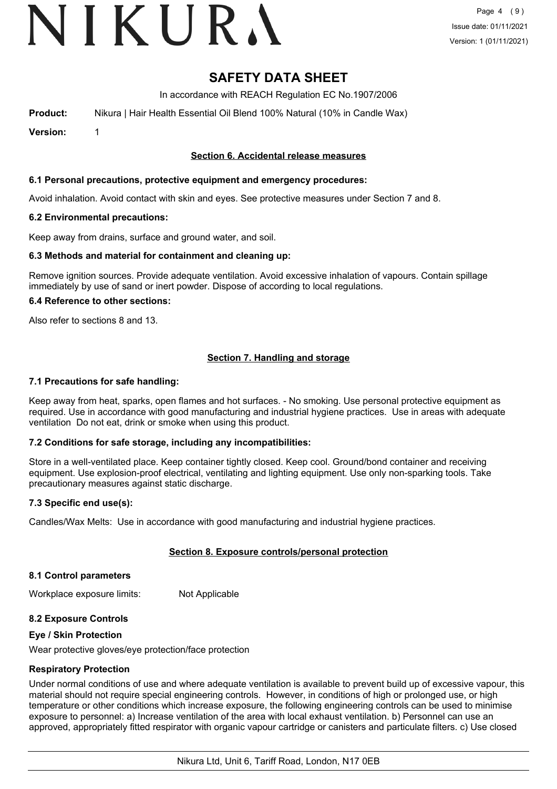# VIKURA

# **SAFETY DATA SHEET**

In accordance with REACH Regulation EC No.1907/2006

**Product:** Nikura | Hair Health Essential Oil Blend 100% Natural (10% in Candle Wax)

**Version:** 1

# **Section 6. Accidental release measures**

# **6.1 Personal precautions, protective equipment and emergency procedures:**

Avoid inhalation. Avoid contact with skin and eyes. See protective measures under Section 7 and 8.

## **6.2 Environmental precautions:**

Keep away from drains, surface and ground water, and soil.

## **6.3 Methods and material for containment and cleaning up:**

Remove ignition sources. Provide adequate ventilation. Avoid excessive inhalation of vapours. Contain spillage immediately by use of sand or inert powder. Dispose of according to local regulations.

## **6.4 Reference to other sections:**

Also refer to sections 8 and 13.

# **Section 7. Handling and storage**

## **7.1 Precautions for safe handling:**

Keep away from heat, sparks, open flames and hot surfaces. - No smoking. Use personal protective equipment as required. Use in accordance with good manufacturing and industrial hygiene practices. Use in areas with adequate ventilation Do not eat, drink or smoke when using this product.

# **7.2 Conditions for safe storage, including any incompatibilities:**

Store in a well-ventilated place. Keep container tightly closed. Keep cool. Ground/bond container and receiving equipment. Use explosion-proof electrical, ventilating and lighting equipment. Use only non-sparking tools. Take precautionary measures against static discharge.

# **7.3 Specific end use(s):**

Candles/Wax Melts: Use in accordance with good manufacturing and industrial hygiene practices.

# **Section 8. Exposure controls/personal protection**

### **8.1 Control parameters**

Workplace exposure limits: Not Applicable

# **8.2 Exposure Controls**

### **Eye / Skin Protection**

Wear protective gloves/eye protection/face protection

# **Respiratory Protection**

Under normal conditions of use and where adequate ventilation is available to prevent build up of excessive vapour, this material should not require special engineering controls. However, in conditions of high or prolonged use, or high temperature or other conditions which increase exposure, the following engineering controls can be used to minimise exposure to personnel: a) Increase ventilation of the area with local exhaust ventilation. b) Personnel can use an approved, appropriately fitted respirator with organic vapour cartridge or canisters and particulate filters. c) Use closed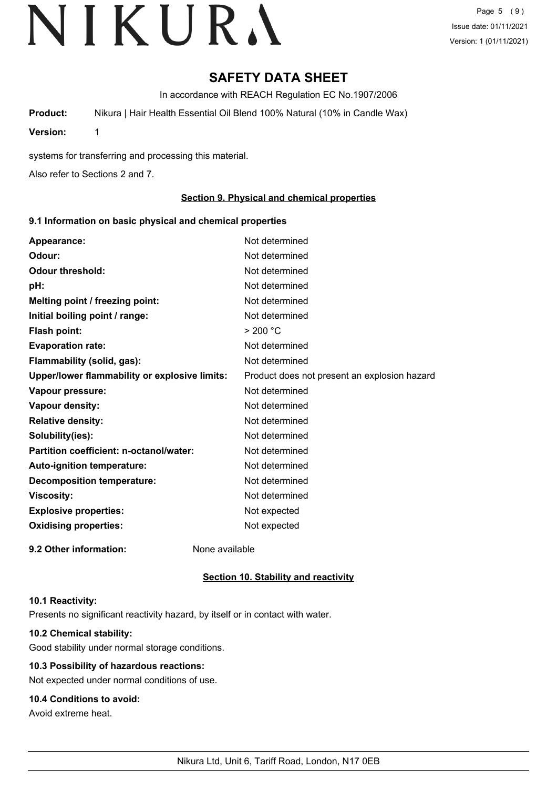Page 5 (9) Issue date: 01/11/2021 Version: 1 (01/11/2021)

# **SAFETY DATA SHEET**

In accordance with REACH Regulation EC No.1907/2006

**Product:** Nikura | Hair Health Essential Oil Blend 100% Natural (10% in Candle Wax)

**Version:** 1

systems for transferring and processing this material.

Also refer to Sections 2 and 7.

# **Section 9. Physical and chemical properties**

## **9.1 Information on basic physical and chemical properties**

| Appearance:                                   | Not determined                               |
|-----------------------------------------------|----------------------------------------------|
| Odour:                                        | Not determined                               |
| <b>Odour threshold:</b>                       | Not determined                               |
| pH:                                           | Not determined                               |
| Melting point / freezing point:               | Not determined                               |
| Initial boiling point / range:                | Not determined                               |
| <b>Flash point:</b>                           | > 200 °C                                     |
| <b>Evaporation rate:</b>                      | Not determined                               |
| Flammability (solid, gas):                    | Not determined                               |
| Upper/lower flammability or explosive limits: | Product does not present an explosion hazard |
| Vapour pressure:                              | Not determined                               |
| Vapour density:                               | Not determined                               |
| <b>Relative density:</b>                      | Not determined                               |
| Solubility(ies):                              | Not determined                               |
| Partition coefficient: n-octanol/water:       | Not determined                               |
| Auto-ignition temperature:                    | Not determined                               |
| <b>Decomposition temperature:</b>             | Not determined                               |
| <b>Viscosity:</b>                             | Not determined                               |
| <b>Explosive properties:</b>                  | Not expected                                 |
| <b>Oxidising properties:</b>                  | Not expected                                 |
| 9.2 Other information:                        | None available                               |

# **Section 10. Stability and reactivity**

### **10.1 Reactivity:**

Presents no significant reactivity hazard, by itself or in contact with water.

# **10.2 Chemical stability:**

Good stability under normal storage conditions.

# **10.3 Possibility of hazardous reactions:**

Not expected under normal conditions of use.

# **10.4 Conditions to avoid:**

Avoid extreme heat.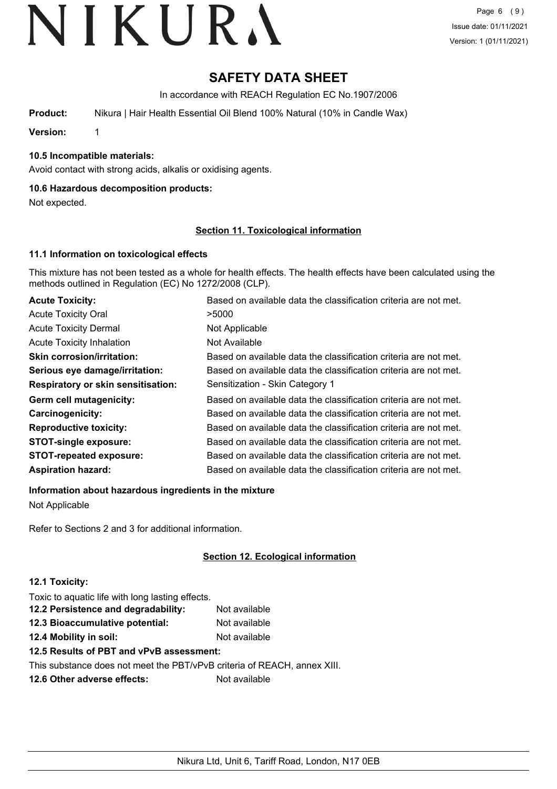# **SAFETY DATA SHEET**

In accordance with REACH Regulation EC No.1907/2006

**Product:** Nikura | Hair Health Essential Oil Blend 100% Natural (10% in Candle Wax)

**Version:** 1

# **10.5 Incompatible materials:**

Avoid contact with strong acids, alkalis or oxidising agents.

# **10.6 Hazardous decomposition products:**

Not expected.

## **Section 11. Toxicological information**

# **11.1 Information on toxicological effects**

This mixture has not been tested as a whole for health effects. The health effects have been calculated using the methods outlined in Regulation (EC) No 1272/2008 (CLP).

| <b>Acute Toxicity:</b>                    | Based on available data the classification criteria are not met. |
|-------------------------------------------|------------------------------------------------------------------|
| <b>Acute Toxicity Oral</b>                | >5000                                                            |
| <b>Acute Toxicity Dermal</b>              | Not Applicable                                                   |
| <b>Acute Toxicity Inhalation</b>          | Not Available                                                    |
| <b>Skin corrosion/irritation:</b>         | Based on available data the classification criteria are not met. |
| Serious eye damage/irritation:            | Based on available data the classification criteria are not met. |
| <b>Respiratory or skin sensitisation:</b> | Sensitization - Skin Category 1                                  |
| Germ cell mutagenicity:                   | Based on available data the classification criteria are not met. |
| Carcinogenicity:                          | Based on available data the classification criteria are not met. |
| <b>Reproductive toxicity:</b>             | Based on available data the classification criteria are not met. |
| <b>STOT-single exposure:</b>              | Based on available data the classification criteria are not met. |
| <b>STOT-repeated exposure:</b>            | Based on available data the classification criteria are not met. |
| <b>Aspiration hazard:</b>                 | Based on available data the classification criteria are not met. |

**Information about hazardous ingredients in the mixture**

Not Applicable

Refer to Sections 2 and 3 for additional information.

# **Section 12. Ecological information**

# **12.1 Toxicity:**

Toxic to aquatic life with long lasting effects.

| 12.2 Persistence and degradability: | Not available |
|-------------------------------------|---------------|
| 12.3 Bioaccumulative potential:     | Not available |
| 12.4 Mobility in soil:              | Not available |

# **12.5 Results of PBT and vPvB assessment:**

This substance does not meet the PBT/vPvB criteria of REACH, annex XIII.

**12.6 Other adverse effects:** Not available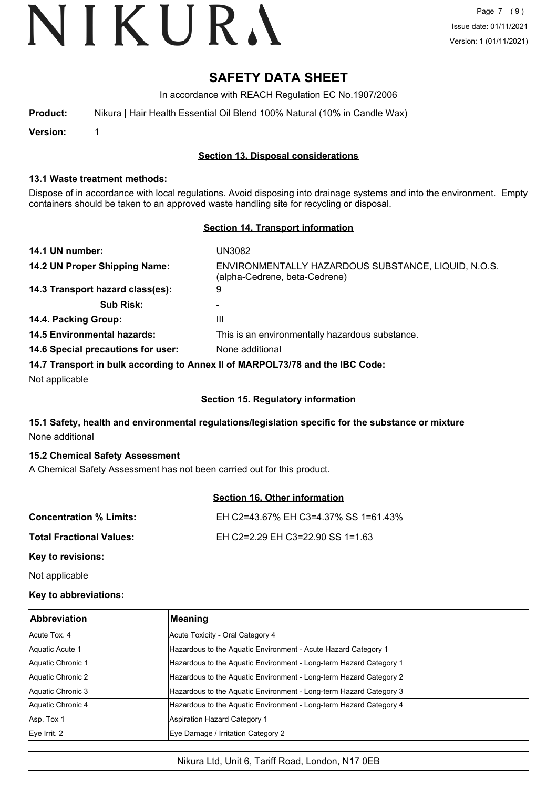Page 7 (9) Issue date: 01/11/2021 Version: 1 (01/11/2021)

# **SAFETY DATA SHEET**

In accordance with REACH Regulation EC No.1907/2006

| Product: | Nikura   Hair Health Essential Oil Blend 100% Natural (10% in Candle Wax) |  |  |  |  |
|----------|---------------------------------------------------------------------------|--|--|--|--|
|          |                                                                           |  |  |  |  |

**Version:** 1

# **Section 13. Disposal considerations**

## **13.1 Waste treatment methods:**

Dispose of in accordance with local regulations. Avoid disposing into drainage systems and into the environment. Empty containers should be taken to an approved waste handling site for recycling or disposal.

# **Section 14. Transport information**

| 14.1 UN number:                    | UN3082                                                                               |
|------------------------------------|--------------------------------------------------------------------------------------|
| 14.2 UN Proper Shipping Name:      | ENVIRONMENTALLY HAZARDOUS SUBSTANCE, LIQUID, N.O.S.<br>(alpha-Cedrene, beta-Cedrene) |
| 14.3 Transport hazard class(es):   | 9                                                                                    |
| <b>Sub Risk:</b>                   | -                                                                                    |
| 14.4. Packing Group:               | Ш                                                                                    |
| <b>14.5 Environmental hazards:</b> | This is an environmentally hazardous substance.                                      |
| 14.6 Special precautions for user: | None additional                                                                      |
|                                    | 14.7 Transport in bulk according to Annex II of MARPOL 73/78 and the IRC Code:       |

**14.7 Transport in bulk according to Annex II of MARPOL73/78 and the IBC Code:**

Not applicable

# **Section 15. Regulatory information**

# **15.1 Safety, health and environmental regulations/legislation specific for the substance or mixture** None additional

# **15.2 Chemical Safety Assessment**

A Chemical Safety Assessment has not been carried out for this product.

# **Section 16. Other information**

| <b>Concentration % Limits:</b>        | EH C2=43.67% EH C3=4.37% SS 1=61.43% |
|---------------------------------------|--------------------------------------|
| Total Fractional Values:              | EH C2=2.29 EH C3=22.90 SS 1=1.63     |
| $\mathbf{r}$ . The state $\mathbf{r}$ |                                      |

**Key to revisions:**

Not applicable

# **Key to abbreviations:**

| <b>Abbreviation</b> | <b>Meaning</b>                                                     |
|---------------------|--------------------------------------------------------------------|
| Acute Tox. 4        | Acute Toxicity - Oral Category 4                                   |
| Aquatic Acute 1     | Hazardous to the Aquatic Environment - Acute Hazard Category 1     |
| Aquatic Chronic 1   | Hazardous to the Aquatic Environment - Long-term Hazard Category 1 |
| Aquatic Chronic 2   | Hazardous to the Aquatic Environment - Long-term Hazard Category 2 |
| Aquatic Chronic 3   | Hazardous to the Aquatic Environment - Long-term Hazard Category 3 |
| Aquatic Chronic 4   | Hazardous to the Aquatic Environment - Long-term Hazard Category 4 |
| Asp. Tox 1          | Aspiration Hazard Category 1                                       |
| Eye Irrit. 2        | Eye Damage / Irritation Category 2                                 |

Nikura Ltd, Unit 6, Tariff Road, London, N17 0EB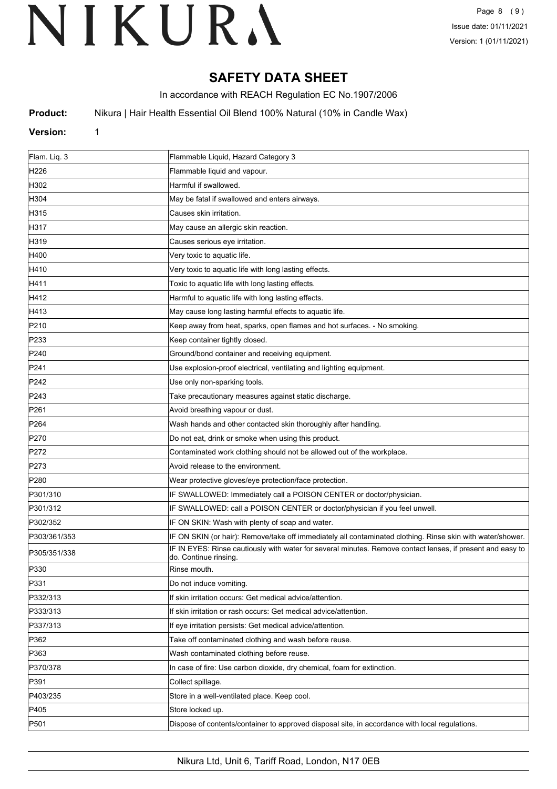# **SAFETY DATA SHEET**

In accordance with REACH Regulation EC No.1907/2006

**Product:** Nikura | Hair Health Essential Oil Blend 100% Natural (10% in Candle Wax)

# **Version:** 1

| Flam. Liq. 3     | Flammable Liquid, Hazard Category 3                                                                                                 |
|------------------|-------------------------------------------------------------------------------------------------------------------------------------|
| H <sub>226</sub> | Flammable liquid and vapour.                                                                                                        |
| H302             | Harmful if swallowed.                                                                                                               |
| H304             | May be fatal if swallowed and enters airways.                                                                                       |
| H315             | Causes skin irritation.                                                                                                             |
| H317             | May cause an allergic skin reaction.                                                                                                |
| H319             | Causes serious eye irritation.                                                                                                      |
| H400             | Very toxic to aquatic life.                                                                                                         |
| H410             | Very toxic to aquatic life with long lasting effects.                                                                               |
| H411             | Toxic to aquatic life with long lasting effects.                                                                                    |
| H412             | Harmful to aquatic life with long lasting effects.                                                                                  |
| H413             | May cause long lasting harmful effects to aquatic life.                                                                             |
| P210             | Keep away from heat, sparks, open flames and hot surfaces. - No smoking.                                                            |
| P233             | Keep container tightly closed.                                                                                                      |
| P240             | Ground/bond container and receiving equipment.                                                                                      |
| P241             | Use explosion-proof electrical, ventilating and lighting equipment.                                                                 |
| P242             | Use only non-sparking tools.                                                                                                        |
| P243             | Take precautionary measures against static discharge.                                                                               |
| P261             | Avoid breathing vapour or dust.                                                                                                     |
| P <sub>264</sub> | Wash hands and other contacted skin thoroughly after handling.                                                                      |
| P270             | Do not eat, drink or smoke when using this product.                                                                                 |
| P272             | Contaminated work clothing should not be allowed out of the workplace.                                                              |
| P273             | Avoid release to the environment.                                                                                                   |
| P280             | Wear protective gloves/eye protection/face protection.                                                                              |
| P301/310         | IF SWALLOWED: Immediately call a POISON CENTER or doctor/physician.                                                                 |
| P301/312         | IF SWALLOWED: call a POISON CENTER or doctor/physician if you feel unwell.                                                          |
| P302/352         | IF ON SKIN: Wash with plenty of soap and water.                                                                                     |
| P303/361/353     | IF ON SKIN (or hair): Remove/take off immediately all contaminated clothing. Rinse skin with water/shower.                          |
| P305/351/338     | IF IN EYES: Rinse cautiously with water for several minutes. Remove contact lenses, if present and easy to<br>do. Continue rinsing. |
| P330             | Rinse mouth.                                                                                                                        |
| P331             | Do not induce vomiting.                                                                                                             |
| P332/313         | If skin irritation occurs: Get medical advice/attention.                                                                            |
| P333/313         | If skin irritation or rash occurs: Get medical advice/attention.                                                                    |
| P337/313         | If eye irritation persists: Get medical advice/attention.                                                                           |
| P362             | Take off contaminated clothing and wash before reuse.                                                                               |
| P363             | Wash contaminated clothing before reuse.                                                                                            |
| P370/378         | In case of fire: Use carbon dioxide, dry chemical, foam for extinction.                                                             |
| P391             | Collect spillage.                                                                                                                   |
| P403/235         | Store in a well-ventilated place. Keep cool.                                                                                        |
| P405             | Store locked up.                                                                                                                    |
| P501             | Dispose of contents/container to approved disposal site, in accordance with local regulations.                                      |
|                  |                                                                                                                                     |